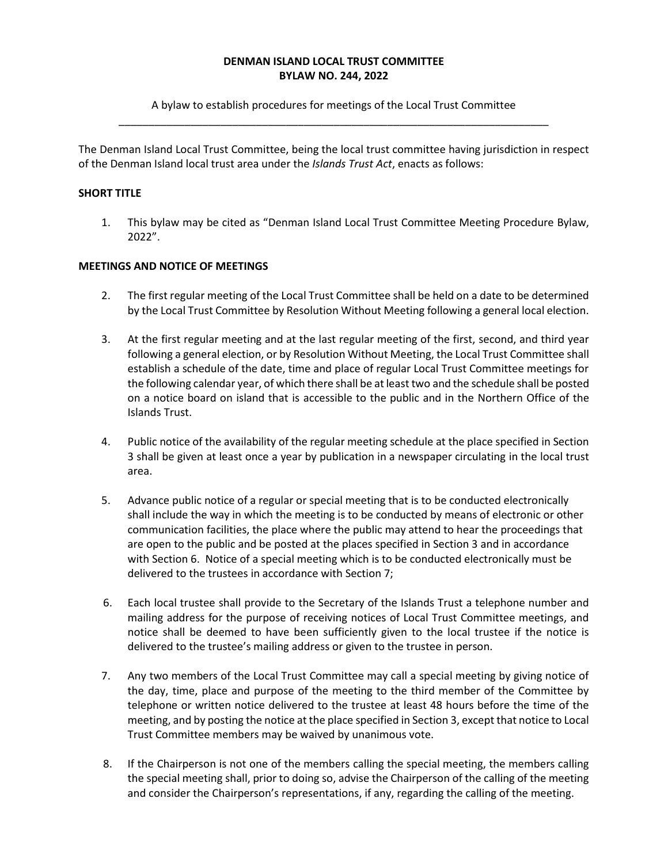#### **DENMAN ISLAND LOCAL TRUST COMMITTEE BYLAW NO. 244, 2022**

# A bylaw to establish procedures for meetings of the Local Trust Committee \_\_\_\_\_\_\_\_\_\_\_\_\_\_\_\_\_\_\_\_\_\_\_\_\_\_\_\_\_\_\_\_\_\_\_\_\_\_\_\_\_\_\_\_\_\_\_\_\_\_\_\_\_\_\_\_\_\_\_\_\_\_\_\_\_\_\_\_\_\_\_\_

The Denman Island Local Trust Committee, being the local trust committee having jurisdiction in respect of the Denman Island local trust area under the *Islands Trust Act*, enacts as follows:

## **SHORT TITLE**

1. This bylaw may be cited as "Denman Island Local Trust Committee Meeting Procedure Bylaw, 2022".

## **MEETINGS AND NOTICE OF MEETINGS**

- 2. The first regular meeting of the Local Trust Committee shall be held on a date to be determined by the Local Trust Committee by Resolution Without Meeting following a general local election.
- 3. At the first regular meeting and at the last regular meeting of the first, second, and third year following a general election, or by Resolution Without Meeting, the Local Trust Committee shall establish a schedule of the date, time and place of regular Local Trust Committee meetings for the following calendar year, of which there shall be at least two and the schedule shall be posted on a notice board on island that is accessible to the public and in the Northern Office of the Islands Trust.
- 4. Public notice of the availability of the regular meeting schedule at the place specified in Section 3 shall be given at least once a year by publication in a newspaper circulating in the local trust area.
- 5. Advance public notice of a regular or special meeting that is to be conducted electronically shall include the way in which the meeting is to be conducted by means of electronic or other communication facilities, the place where the public may attend to hear the proceedings that are open to the public and be posted at the places specified in Section 3 and in accordance with Section 6. Notice of a special meeting which is to be conducted electronically must be delivered to the trustees in accordance with Section 7;
- 6. Each local trustee shall provide to the Secretary of the Islands Trust a telephone number and mailing address for the purpose of receiving notices of Local Trust Committee meetings, and notice shall be deemed to have been sufficiently given to the local trustee if the notice is delivered to the trustee's mailing address or given to the trustee in person.
- 7. Any two members of the Local Trust Committee may call a special meeting by giving notice of the day, time, place and purpose of the meeting to the third member of the Committee by telephone or written notice delivered to the trustee at least 48 hours before the time of the meeting, and by posting the notice at the place specified in Section 3, except that notice to Local Trust Committee members may be waived by unanimous vote.
- 8. If the Chairperson is not one of the members calling the special meeting, the members calling the special meeting shall, prior to doing so, advise the Chairperson of the calling of the meeting and consider the Chairperson's representations, if any, regarding the calling of the meeting.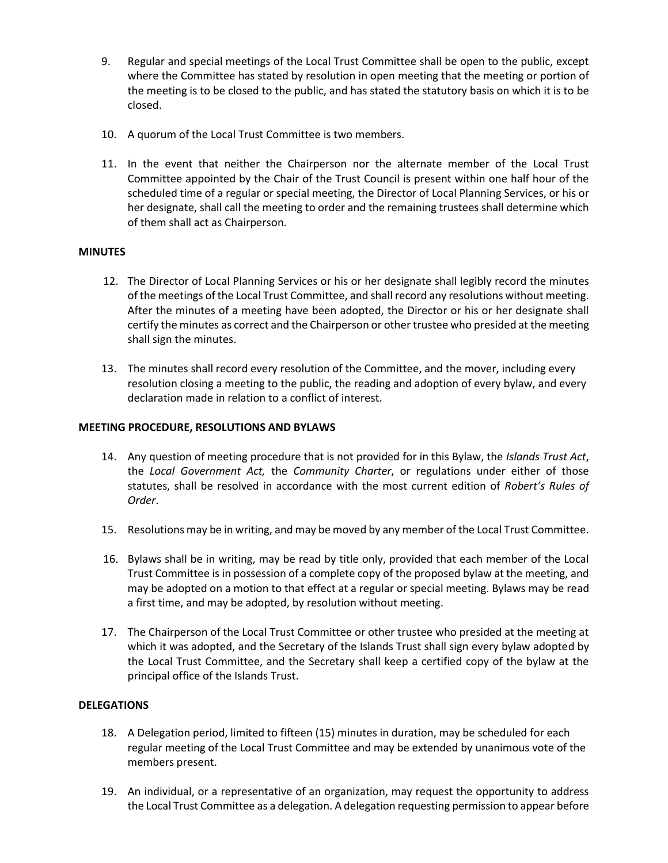- 9. Regular and special meetings of the Local Trust Committee shall be open to the public, except where the Committee has stated by resolution in open meeting that the meeting or portion of the meeting is to be closed to the public, and has stated the statutory basis on which it is to be closed.
- 10. A quorum of the Local Trust Committee is two members.
- 11. In the event that neither the Chairperson nor the alternate member of the Local Trust Committee appointed by the Chair of the Trust Council is present within one half hour of the scheduled time of a regular or special meeting, the Director of Local Planning Services, or his or her designate, shall call the meeting to order and the remaining trustees shall determine which of them shall act as Chairperson.

# **MINUTES**

- 12. The Director of Local Planning Services or his or her designate shall legibly record the minutes of the meetings of the Local Trust Committee, and shall record any resolutions without meeting. After the minutes of a meeting have been adopted, the Director or his or her designate shall certify the minutes as correct and the Chairperson or other trustee who presided at the meeting shall sign the minutes.
- 13. The minutes shall record every resolution of the Committee, and the mover, including every resolution closing a meeting to the public, the reading and adoption of every bylaw, and every declaration made in relation to a conflict of interest.

# **MEETING PROCEDURE, RESOLUTIONS AND BYLAWS**

- 14. Any question of meeting procedure that is not provided for in this Bylaw, the *Islands Trust Act*, the *Local Government Act,* the *Community Charter*, or regulations under either of those statutes, shall be resolved in accordance with the most current edition of *Robert's Rules of Order*.
- 15. Resolutions may be in writing, and may be moved by any member of the Local Trust Committee.
- 16. Bylaws shall be in writing, may be read by title only, provided that each member of the Local Trust Committee is in possession of a complete copy of the proposed bylaw at the meeting, and may be adopted on a motion to that effect at a regular or special meeting. Bylaws may be read a first time, and may be adopted, by resolution without meeting.
- 17. The Chairperson of the Local Trust Committee or other trustee who presided at the meeting at which it was adopted, and the Secretary of the Islands Trust shall sign every bylaw adopted by the Local Trust Committee, and the Secretary shall keep a certified copy of the bylaw at the principal office of the Islands Trust.

## **DELEGATIONS**

- 18. A Delegation period, limited to fifteen (15) minutes in duration, may be scheduled for each regular meeting of the Local Trust Committee and may be extended by unanimous vote of the members present.
- 19. An individual, or a representative of an organization, may request the opportunity to address the Local Trust Committee as a delegation. A delegation requesting permission to appear before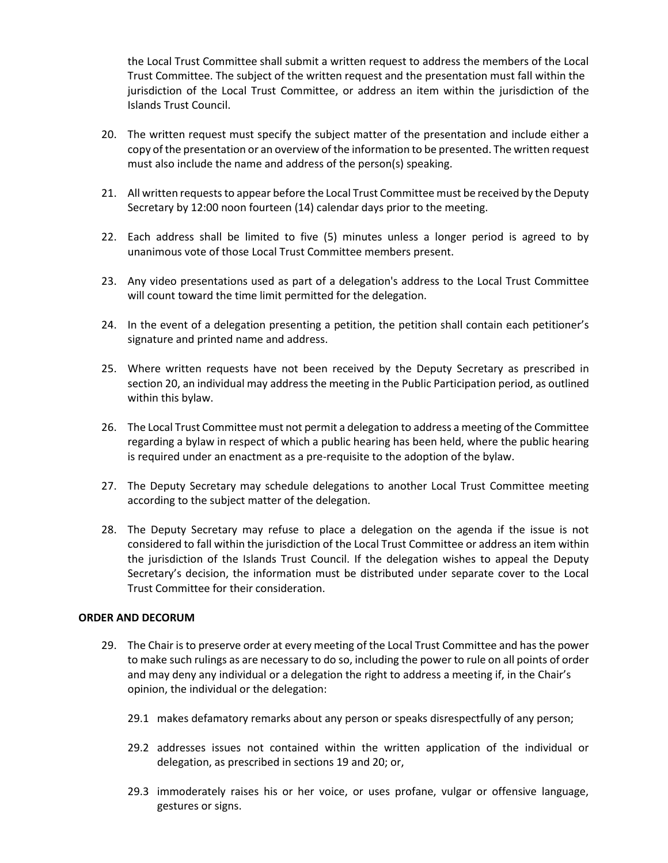the Local Trust Committee shall submit a written request to address the members of the Local Trust Committee. The subject of the written request and the presentation must fall within the jurisdiction of the Local Trust Committee, or address an item within the jurisdiction of the Islands Trust Council.

- 20. The written request must specify the subject matter of the presentation and include either a copy of the presentation or an overview of the information to be presented. The written request must also include the name and address of the person(s) speaking.
- 21. All written requests to appear before the Local Trust Committee must be received by the Deputy Secretary by 12:00 noon fourteen (14) calendar days prior to the meeting.
- 22. Each address shall be limited to five (5) minutes unless a longer period is agreed to by unanimous vote of those Local Trust Committee members present.
- 23. Any video presentations used as part of a delegation's address to the Local Trust Committee will count toward the time limit permitted for the delegation.
- 24. In the event of a delegation presenting a petition, the petition shall contain each petitioner's signature and printed name and address.
- 25. Where written requests have not been received by the Deputy Secretary as prescribed in section 20, an individual may address the meeting in the Public Participation period, as outlined within this bylaw.
- 26. The Local Trust Committee must not permit a delegation to address a meeting of the Committee regarding a bylaw in respect of which a public hearing has been held, where the public hearing is required under an enactment as a pre-requisite to the adoption of the bylaw.
- 27. The Deputy Secretary may schedule delegations to another Local Trust Committee meeting according to the subject matter of the delegation.
- 28. The Deputy Secretary may refuse to place a delegation on the agenda if the issue is not considered to fall within the jurisdiction of the Local Trust Committee or address an item within the jurisdiction of the Islands Trust Council. If the delegation wishes to appeal the Deputy Secretary's decision, the information must be distributed under separate cover to the Local Trust Committee for their consideration.

#### **ORDER AND DECORUM**

- 29. The Chair is to preserve order at every meeting of the Local Trust Committee and has the power to make such rulings as are necessary to do so, including the power to rule on all points of order and may deny any individual or a delegation the right to address a meeting if, in the Chair's opinion, the individual or the delegation:
	- 29.1 makes defamatory remarks about any person or speaks disrespectfully of any person;
	- 29.2 addresses issues not contained within the written application of the individual or delegation, as prescribed in sections 19 and 20; or,
	- 29.3 immoderately raises his or her voice, or uses profane, vulgar or offensive language, gestures or signs.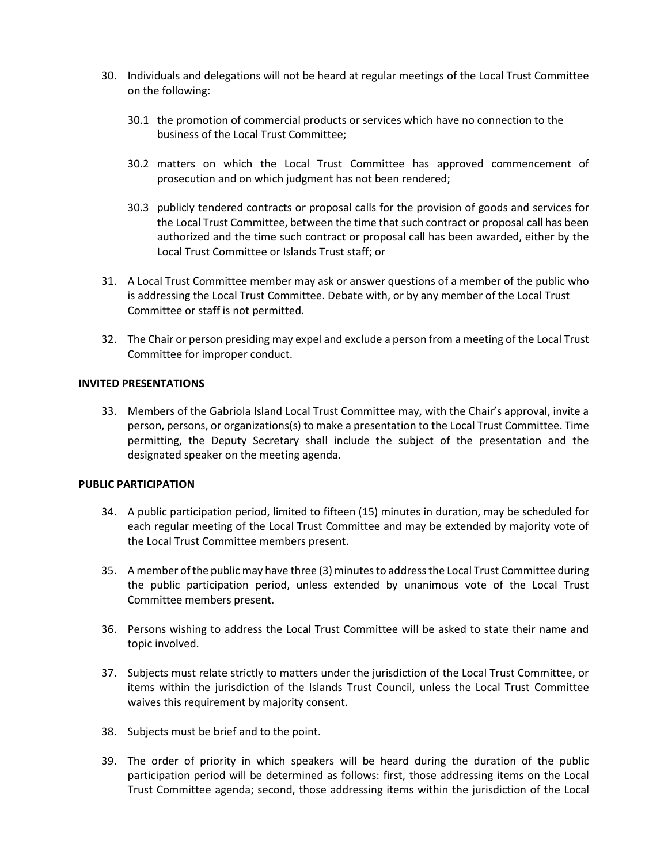- 30. Individuals and delegations will not be heard at regular meetings of the Local Trust Committee on the following:
	- 30.1 the promotion of commercial products or services which have no connection to the business of the Local Trust Committee;
	- 30.2 matters on which the Local Trust Committee has approved commencement of prosecution and on which judgment has not been rendered;
	- 30.3 publicly tendered contracts or proposal calls for the provision of goods and services for the Local Trust Committee, between the time that such contract or proposal call has been authorized and the time such contract or proposal call has been awarded, either by the Local Trust Committee or Islands Trust staff; or
- 31. A Local Trust Committee member may ask or answer questions of a member of the public who is addressing the Local Trust Committee. Debate with, or by any member of the Local Trust Committee or staff is not permitted.
- 32. The Chair or person presiding may expel and exclude a person from a meeting of the Local Trust Committee for improper conduct.

## **INVITED PRESENTATIONS**

33. Members of the Gabriola Island Local Trust Committee may, with the Chair's approval, invite a person, persons, or organizations(s) to make a presentation to the Local Trust Committee. Time permitting, the Deputy Secretary shall include the subject of the presentation and the designated speaker on the meeting agenda.

#### **PUBLIC PARTICIPATION**

- 34. A public participation period, limited to fifteen (15) minutes in duration, may be scheduled for each regular meeting of the Local Trust Committee and may be extended by majority vote of the Local Trust Committee members present.
- 35. A member of the public may have three (3) minutes to address the Local Trust Committee during the public participation period, unless extended by unanimous vote of the Local Trust Committee members present.
- 36. Persons wishing to address the Local Trust Committee will be asked to state their name and topic involved.
- 37. Subjects must relate strictly to matters under the jurisdiction of the Local Trust Committee, or items within the jurisdiction of the Islands Trust Council, unless the Local Trust Committee waives this requirement by majority consent.
- 38. Subjects must be brief and to the point.
- 39. The order of priority in which speakers will be heard during the duration of the public participation period will be determined as follows: first, those addressing items on the Local Trust Committee agenda; second, those addressing items within the jurisdiction of the Local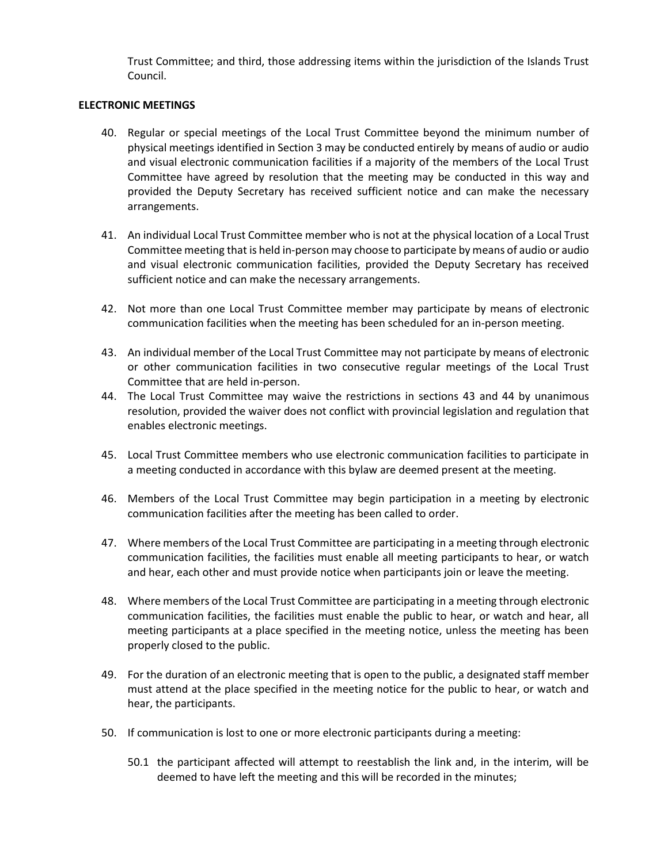Trust Committee; and third, those addressing items within the jurisdiction of the Islands Trust Council.

#### **ELECTRONIC MEETINGS**

- 40. Regular or special meetings of the Local Trust Committee beyond the minimum number of physical meetings identified in Section 3 may be conducted entirely by means of audio or audio and visual electronic communication facilities if a majority of the members of the Local Trust Committee have agreed by resolution that the meeting may be conducted in this way and provided the Deputy Secretary has received sufficient notice and can make the necessary arrangements.
- 41. An individual Local Trust Committee member who is not at the physical location of a Local Trust Committee meeting that is held in-person may choose to participate by means of audio or audio and visual electronic communication facilities, provided the Deputy Secretary has received sufficient notice and can make the necessary arrangements.
- 42. Not more than one Local Trust Committee member may participate by means of electronic communication facilities when the meeting has been scheduled for an in-person meeting.
- 43. An individual member of the Local Trust Committee may not participate by means of electronic or other communication facilities in two consecutive regular meetings of the Local Trust Committee that are held in-person.
- 44. The Local Trust Committee may waive the restrictions in sections 43 and 44 by unanimous resolution, provided the waiver does not conflict with provincial legislation and regulation that enables electronic meetings.
- 45. Local Trust Committee members who use electronic communication facilities to participate in a meeting conducted in accordance with this bylaw are deemed present at the meeting.
- 46. Members of the Local Trust Committee may begin participation in a meeting by electronic communication facilities after the meeting has been called to order.
- 47. Where members of the Local Trust Committee are participating in a meeting through electronic communication facilities, the facilities must enable all meeting participants to hear, or watch and hear, each other and must provide notice when participants join or leave the meeting.
- 48. Where members of the Local Trust Committee are participating in a meeting through electronic communication facilities, the facilities must enable the public to hear, or watch and hear, all meeting participants at a place specified in the meeting notice, unless the meeting has been properly closed to the public.
- 49. For the duration of an electronic meeting that is open to the public, a designated staff member must attend at the place specified in the meeting notice for the public to hear, or watch and hear, the participants.
- 50. If communication is lost to one or more electronic participants during a meeting:
	- 50.1 the participant affected will attempt to reestablish the link and, in the interim, will be deemed to have left the meeting and this will be recorded in the minutes;